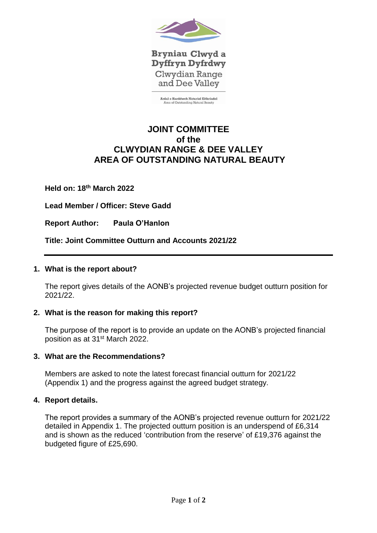

Bryniau Clwyd a **Dyffryn Dyfrdwy** Clwydian Range and Dee Valley

**Ardal o Harddwch Naturiol Eithriadol**<br>Area of Outstanding Natural Beauty

# **JOINT COMMITTEE of the CLWYDIAN RANGE & DEE VALLEY AREA OF OUTSTANDING NATURAL BEAUTY**

**Held on: 18 th March 2022**

**Lead Member / Officer: Steve Gadd**

**Report Author: Paula O'Hanlon** 

**Title: Joint Committee Outturn and Accounts 2021/22**

## **1. What is the report about?**

The report gives details of the AONB's projected revenue budget outturn position for 2021/22.

## **2. What is the reason for making this report?**

The purpose of the report is to provide an update on the AONB's projected financial position as at 31<sup>st</sup> March 2022.

## **3. What are the Recommendations?**

Members are asked to note the latest forecast financial outturn for 2021/22 (Appendix 1) and the progress against the agreed budget strategy.

## **4. Report details.**

The report provides a summary of the AONB's projected revenue outturn for 2021/22 detailed in Appendix 1. The projected outturn position is an underspend of £6,314 and is shown as the reduced 'contribution from the reserve' of £19,376 against the budgeted figure of £25,690.